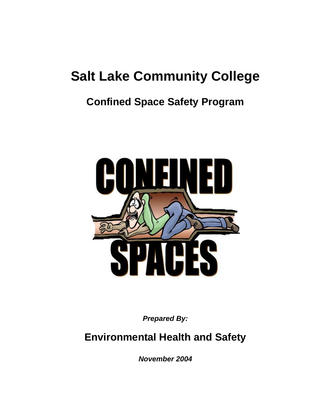# **Salt Lake Community College**

## **Confined Space Safety Program**



*Prepared By:*

### **Environmental Health and Safety**

*November 2004*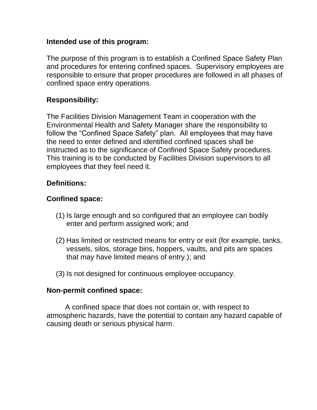#### **Intended use of this program:**

The purpose of this program is to establish a Confined Space Safety Plan and procedures for entering confined spaces. Supervisory employees are responsible to ensure that proper procedures are followed in all phases of confined space entry operations.

#### **Responsibility:**

The Facilities Division Management Team in cooperation with the Environmental Health and Safety Manager share the responsibility to follow the "Confined Space Safety" plan. All employees that may have the need to enter defined and identified confined spaces shall be instructed as to the significance of Confined Space Safety procedures. This training is to be conducted by Facilities Division supervisors to all employees that they feel need it.

#### **Definitions:**

#### **Confined space:**

- (1) Is large enough and so configured that an employee can bodily enter and perform assigned work; and
- (2) Has limited or restricted means for entry or exit (for example, tanks, vessels, silos, storage bins, hoppers, vaults, and pits are spaces that may have limited means of entry.); and
- (3) Is not designed for continuous employee occupancy.

#### **Non-permit confined space:**

A confined space that does not contain or, with respect to atmospheric hazards, have the potential to contain any hazard capable of causing death or serious physical harm.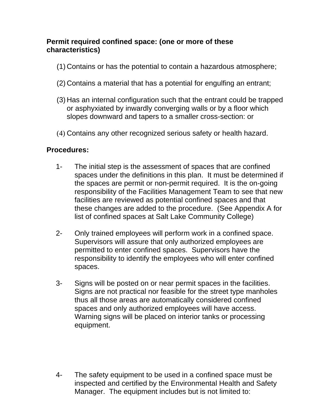#### **Permit required confined space: (one or more of these characteristics)**

- (1) Contains or has the potential to contain a hazardous atmosphere;
- (2) Contains a material that has a potential for engulfing an entrant;
- (3) Has an internal configuration such that the entrant could be trapped or asphyxiated by inwardly converging walls or by a floor which slopes downward and tapers to a smaller cross-section: or
- (4) Contains any other recognized serious safety or health hazard.

#### **Procedures:**

- 1- The initial step is the assessment of spaces that are confined spaces under the definitions in this plan. It must be determined if the spaces are permit or non-permit required. It is the on-going responsibility of the Facilities Management Team to see that new facilities are reviewed as potential confined spaces and that these changes are added to the procedure. (See Appendix A for list of confined spaces at Salt Lake Community College)
- 2- Only trained employees will perform work in a confined space. Supervisors will assure that only authorized employees are permitted to enter confined spaces. Supervisors have the responsibility to identify the employees who will enter confined spaces.
- 3- Signs will be posted on or near permit spaces in the facilities. Signs are not practical nor feasible for the street type manholes thus all those areas are automatically considered confined spaces and only authorized employees will have access. Warning signs will be placed on interior tanks or processing equipment.

4- The safety equipment to be used in a confined space must be inspected and certified by the Environmental Health and Safety Manager. The equipment includes but is not limited to: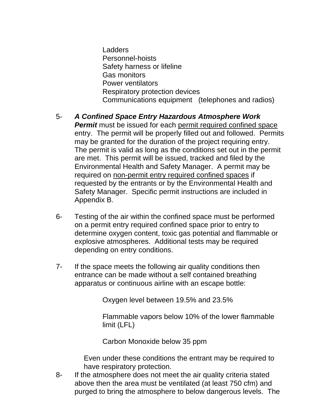Ladders Personnel-hoists Safety harness or lifeline Gas monitors Power ventilators Respiratory protection devices Communications equipment (telephones and radios)

- 5- *A Confined Space Entry Hazardous Atmosphere Work Permit* must be issued for each permit required confined space entry. The permit will be properly filled out and followed. Permits may be granted for the duration of the project requiring entry. The permit is valid as long as the conditions set out in the permit are met. This permit will be issued, tracked and filed by the Environmental Health and Safety Manager. A permit may be required on non-permit entry required confined spaces if requested by the entrants or by the Environmental Health and Safety Manager. Specific permit instructions are included in Appendix B.
- 6- Testing of the air within the confined space must be performed on a permit entry required confined space prior to entry to determine oxygen content, toxic gas potential and flammable or explosive atmospheres. Additional tests may be required depending on entry conditions.
- 7- If the space meets the following air quality conditions then entrance can be made without a self contained breathing apparatus or continuous airline with an escape bottle:

Oxygen level between 19.5% and 23.5%

Flammable vapors below 10% of the lower flammable limit (LFL)

Carbon Monoxide below 35 ppm

Even under these conditions the entrant may be required to have respiratory protection.

8- If the atmosphere does not meet the air quality criteria stated above then the area must be ventilated (at least 750 cfm) and purged to bring the atmosphere to below dangerous levels. The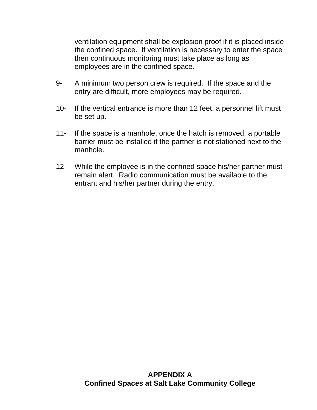ventilation equipment shall be explosion proof if it is placed inside the confined space. If ventilation is necessary to enter the space then continuous monitoring must take place as long as employees are in the confined space.

- 9- A minimum two person crew is required. If the space and the entry are difficult, more employees may be required.
- 10- If the vertical entrance is more than 12 feet, a personnel lift must be set up.
- 11- If the space is a manhole, once the hatch is removed, a portable barrier must be installed if the partner is not stationed next to the manhole.
- 12- While the employee is in the confined space his/her partner must remain alert. Radio communication must be available to the entrant and his/her partner during the entry.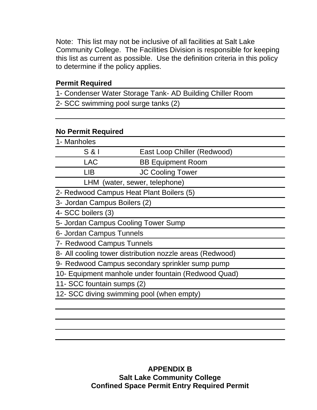Note: This list may not be inclusive of all facilities at Salt Lake Community College. The Facilities Division is responsible for keeping this list as current as possible. Use the definition criteria in this policy to determine if the policy applies.

#### **Permit Required**

1- Condenser Water Storage Tank- AD Building Chiller Room 2- SCC swimming pool surge tanks (2)

#### **No Permit Required**

| 1- Manholes                               |                                                          |
|-------------------------------------------|----------------------------------------------------------|
| $S$ & $I$                                 | East Loop Chiller (Redwood)                              |
| <b>LAC</b>                                | <b>BB Equipment Room</b>                                 |
| <b>LIB</b>                                | <b>JC Cooling Tower</b>                                  |
|                                           | LHM (water, sewer, telephone)                            |
| 2- Redwood Campus Heat Plant Boilers (5)  |                                                          |
| 3- Jordan Campus Boilers (2)              |                                                          |
| 4- SCC boilers (3)                        |                                                          |
| 5- Jordan Campus Cooling Tower Sump       |                                                          |
| 6- Jordan Campus Tunnels                  |                                                          |
| 7- Redwood Campus Tunnels                 |                                                          |
|                                           | 8- All cooling tower distribution nozzle areas (Redwood) |
|                                           | 9- Redwood Campus secondary sprinkler sump pump          |
|                                           | 10- Equipment manhole under fountain (Redwood Quad)      |
| 11- SCC fountain sumps (2)                |                                                          |
| 12- SCC diving swimming pool (when empty) |                                                          |
|                                           |                                                          |
|                                           |                                                          |